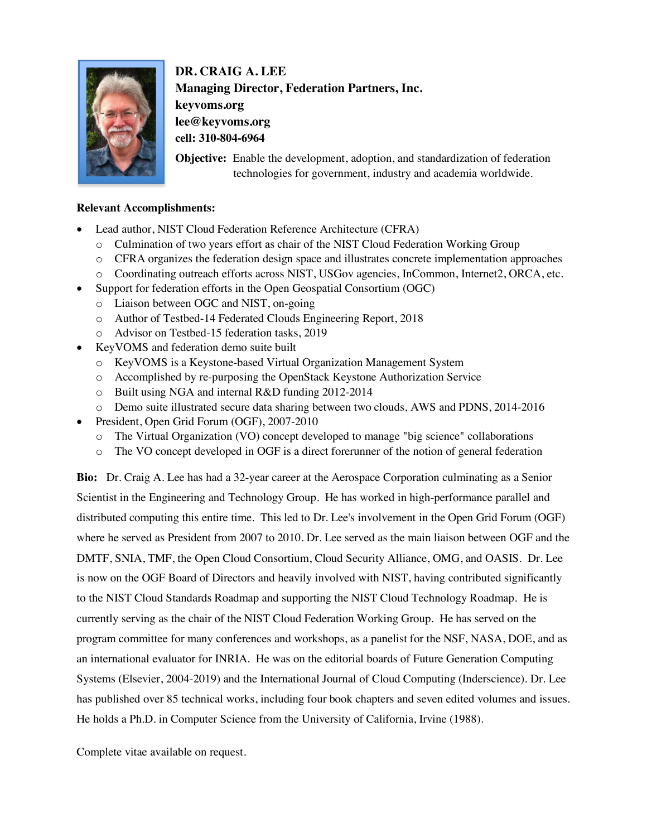

**DR. CRAIG A. LEE Managing Director, Federation Partners, Inc. keyvoms.org lee@keyvoms.org cell: 310-804-6964**

**Objective:** Enable the development, adoption, and standardization of federation technologies for government, industry and academia worldwide.

## **Relevant Accomplishments:**

- Lead author, NIST Cloud Federation Reference Architecture (CFRA)
	- o Culmination of two years effort as chair of the NIST Cloud Federation Working Group
	- o CFRA organizes the federation design space and illustrates concrete implementation approaches
	- o Coordinating outreach efforts across NIST, USGov agencies, InCommon, Internet2, ORCA, etc.
- Support for federation efforts in the Open Geospatial Consortium (OGC)
	- o Liaison between OGC and NIST, on-going
	- o Author of Testbed-14 Federated Clouds Engineering Report, 2018
	- o Advisor on Testbed-15 federation tasks, 2019
- KeyVOMS and federation demo suite built
	- o KeyVOMS is a Keystone-based Virtual Organization Management System
	- o Accomplished by re-purposing the OpenStack Keystone Authorization Service
	- o Built using NGA and internal R&D funding 2012-2014
	- o Demo suite illustrated secure data sharing between two clouds, AWS and PDNS, 2014-2016
- President, Open Grid Forum (OGF), 2007-2010
	- o The Virtual Organization (VO) concept developed to manage "big science" collaborations
	- o The VO concept developed in OGF is a direct forerunner of the notion of general federation

**Bio:** Dr. Craig A. Lee has had a 32-year career at the Aerospace Corporation culminating as a Senior Scientist in the Engineering and Technology Group. He has worked in high-performance parallel and distributed computing this entire time. This led to Dr. Lee's involvement in the Open Grid Forum (OGF) where he served as President from 2007 to 2010. Dr. Lee served as the main liaison between OGF and the DMTF, SNIA, TMF, the Open Cloud Consortium, Cloud Security Alliance, OMG, and OASIS. Dr. Lee is now on the OGF Board of Directors and heavily involved with NIST, having contributed significantly to the NIST Cloud Standards Roadmap and supporting the NIST Cloud Technology Roadmap. He is currently serving as the chair of the NIST Cloud Federation Working Group. He has served on the program committee for many conferences and workshops, as a panelist for the NSF, NASA, DOE, and as an international evaluator for INRIA. He was on the editorial boards of Future Generation Computing Systems (Elsevier, 2004-2019) and the International Journal of Cloud Computing (Inderscience). Dr. Lee has published over 85 technical works, including four book chapters and seven edited volumes and issues. He holds a Ph.D. in Computer Science from the University of California, Irvine (1988).

Complete vitae available on request.